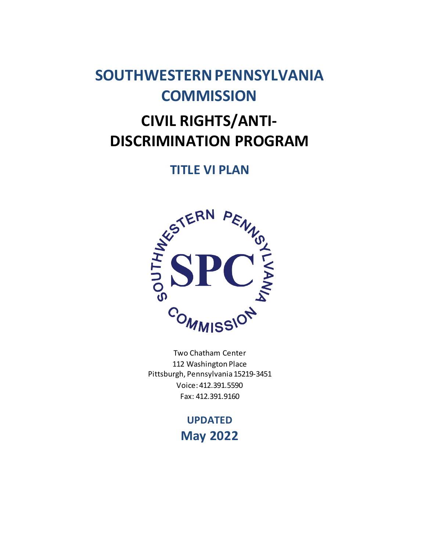# **SOUTHWESTERN PENNSYLVANIA COMMISSION**

# **CIVIL RIGHTS/ANTI-DISCRIMINATION PROGRAM**

# **TITLE VI PLAN**



Two Chatham Center 112 Washington Place Pittsburgh, Pennsylvania 15219-3451 Voice: 412.391.5590 Fax: 412.391.9160

> **UPDATED May 2022**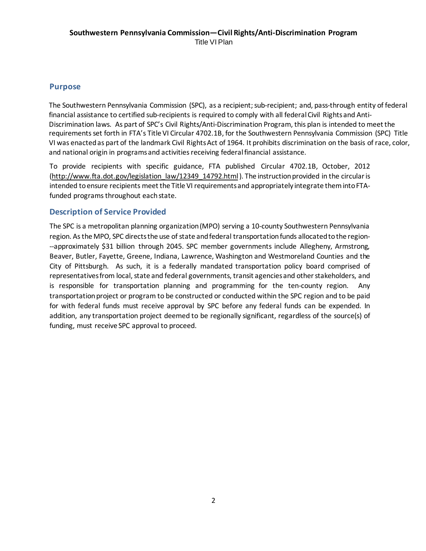#### **Purpose**

The Southwestern Pennsylvania Commission (SPC), as a recipient; sub-recipient; and, pass-through entity of federal financial assistance to certified sub-recipients is required to comply with all federal Civil Rights and Anti-Discrimination laws. As part of SPC's Civil Rights/Anti-Discrimination Program, this plan is intended to meet the requirements set forth in FTA's Title VI Circular 4702.1B, for the Southwestern Pennsylvania Commission (SPC) Title VI was enactedas part of the landmark Civil Rights Act of 1964. It prohibits discrimination on the basis of race, color, and national origin in programs and activities receiving federal financial assistance.

To provide recipients with specific guidance, FTA published Circular 4702.1B, October, 2012 [\(http://www.fta.dot.gov/legislation\\_law/12349\\_14792.html\)](http://www.fta.dot.gov/legislation_law/12349_14792.html). The instruction provided in the circular is intended to ensure recipients meet the Title VI requirements and appropriately integrate them into FTAfunded programs throughout each state.

#### **Description of Service Provided**

The SPC is a metropolitan planning organization (MPO) serving a 10-county Southwestern Pennsylvania region. As the MPO, SPC directs the use of state and federal [transportation](https://www.spcregion.org/trans.asp) funds allocated to the region---approximately \$31 billion through 2045. SPC member governments include Allegheny, Armstrong, Beaver, Butler, Fayette, Greene, Indiana, Lawrence, Washington and Westmoreland Counties and the City of Pittsburgh. As such, it is a federally mandated transportation policy board comprised of representatives from local, state and federal governments, transit agencies and other stakeholders, and is responsible for transportation planning and programming for the ten-county region. Any transportation project or program to be constructed or conducted within the SPC region and to be paid for with federal funds must receive approval by SPC before any federal funds can be expended. In addition, any transportation project deemed to be regionally significant, regardless of the source(s) of funding, must receive SPC approval to proceed.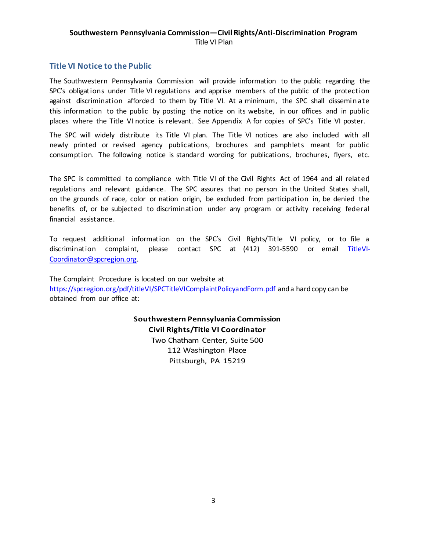#### **Southwestern Pennsylvania Commission—Civil Rights/Anti-Discrimination Program** Title VI Plan

#### **Title VI Notice to the Public**

The Southwestern Pennsylvania Commission will provide information to the public regarding the SPC's obligations under Title VI regulations and apprise members of the public of the protection against discrimination afforded to them by Title VI. At a minimum, the SPC shall dissemi n ate this information to the public by posting the notice on its website, in our offices and in public places where the Title VI notice is relevant. See Appendix A for copies of SPC's Title VI poster.

The SPC will widely distribute its Title VI plan. The Title VI notices are also included with all newly printed or revised agency publications, brochures and pamphlets meant for public consumption. The following notice is standard wording for publications, brochures, flyers, etc.

The SPC is committed to compliance with Title VI of the Civil Rights Act of 1964 and all related regulations and relevant guidance. The SPC assures that no person in the United States shall, on the grounds of race, color or nation origin, be excluded from participation in, be denied the benefits of, or be subjected to discrimination under any program or activity receiving federal financial assistance.

To request additional information on the SPC's Civil Rights/Title VI policy, or to file a discrimination complaint, please contact SPC at (412) 391-5590 or email [TitleVI-](mailto:TitleVI-Coordinator@spcregion.org)[Coordinator@spcregion.org.](mailto:TitleVI-Coordinator@spcregion.org)

The Complaint Procedure is located on our website at <https://spcregion.org/pdf/titleVI/SPCTitleVIComplaintPolicyandForm.pdf> and a hardcopy can be obtained from our office at:

> **Southwestern Pennsylvania Commission Civil Rights/Title VI Coordinator** Two Chatham Center, Suite 500 112 Washington Place Pittsburgh, PA 15219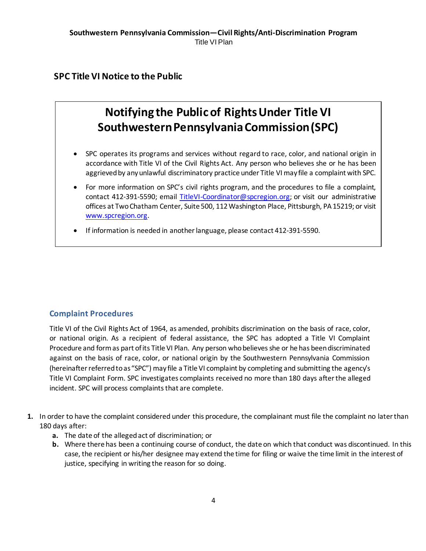### **SPC Title VI Notice to the Public**

# **Notifying the Public of Rights Under Title VI Southwestern Pennsylvania Commission (SPC)**

- SPC operates its programs and services without regard to race, color, and national origin in accordance with Title VI of the Civil Rights Act. Any person who believes she or he has been aggrieved by any unlawful discriminatory practice under Title VI may file a complaint with SPC.
- For more information on SPC's civil rights program, and the procedures to file a complaint, contact 412-391-5590; email [TitleVI-Coordinator@spcregion.org;](mailto:TitleVI-Coordinator@spcregion.org) or visit our administrative offices at Two Chatham Center, Suite 500, 112 Washington Place, Pittsburgh, PA 15219; or visit [www.spcregion.org](http://www.spcregion.org/).
- If information is needed in another language, please contact 412-391-5590.

#### **Complaint Procedures**

Title VI of the Civil Rights Act of 1964, as amended, prohibits discrimination on the basis of race, color, or national origin. As a recipient of federal assistance, the SPC has adopted a Title VI Complaint Procedure and formas part of its Title VI Plan. Any person who believes she or he has been discriminated against on the basis of race, color, or national origin by the Southwestern Pennsylvania Commission (hereinafter referred to as "SPC") may file a Title VI complaint by completing and submitting the agency's Title VI Complaint Form. SPC investigates complaints received no more than 180 days after the alleged incident. SPC will process complaints that are complete.

- **1.** In order to have the complaint considered under this procedure, the complainant must file the complaint no later than 180 days after:
	- **a.** The date of the alleged act of discrimination; or
	- **b.** Where there has been a continuing course of conduct, the date on which that conduct was discontinued. In this case, the recipient or his/her designee may extend the time for filing or waive the time limit in the interest of justice, specifying in writing the reason for so doing.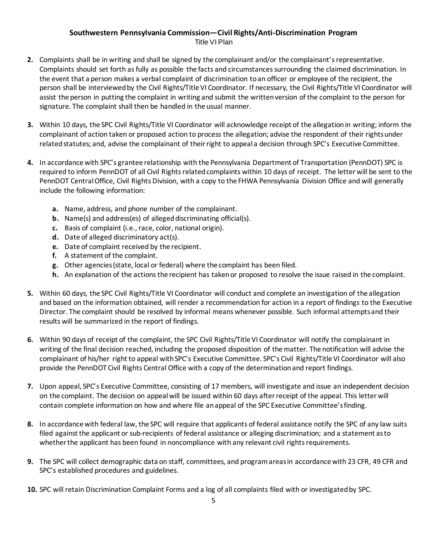### **Southwestern Pennsylvania Commission—Civil Rights/Anti-Discrimination Program**

Title VI Plan

- **2.** Complaints shall be in writing and shall be signed by the complainant and/or the complainant's representative. Complaints should set forth as fully as possible the facts and circumstances surrounding the claimed discrimination. In the event that a person makes a verbal complaint of discrimination to an officer or employee of the recipient, the person shall be interviewed by the Civil Rights/Title VI Coordinator. If necessary, the Civil Rights/Title VI Coordinator will assist the person in putting the complaint in writing and submit the written version of the complaint to the person for signature. The complaint shall then be handled in the usual manner.
- **3.** Within 10 days, the SPC Civil Rights/Title VI Coordinator will acknowledge receipt of the allegation in writing; inform the complainant of action taken or proposed action to process the allegation; advise the respondent of their rights under related statutes; and, advise the complainant of their right to appeal a decision through SPC's Executive Committee.
- **4.** In accordance with SPC's grantee relationship with the Pennsylvania Department of Transportation (PennDOT) SPC is required to inform PennDOT of all Civil Rights related complaints within 10 days of receipt. The letter will be sent to the PennDOT Central Office, Civil Rights Division, with a copy to the FHWA Pennsylvania Division Office and will generally include the following information:
	- **a.** Name, address, and phone number of the complainant.
	- **b.** Name(s) and address(es) of alleged discriminating official(s).
	- **c.** Basis of complaint (i.e., race, color, national origin).
	- **d.** Date of alleged discriminatory act(s).
	- **e.** Date of complaint received by the recipient.
	- **f.** A statement of the complaint.
	- **g.** Other agencies (state, local or federal) where the complaint has been filed.
	- **h.** An explanation of the actions the recipient has taken or proposed to resolve the issue raised in the complaint.
- **5.** Within 60 days, the SPC Civil Rights/Title VI Coordinator will conduct and complete an investigation of the allegation and based on the information obtained, will render a recommendation for action in a report of findings to the Executive Director. The complaint should be resolved by informal means whenever possible. Such informal attempts and their results will be summarized in the report of findings.
- **6.** Within 90 days of receipt of the complaint, the SPC Civil Rights/Title VI Coordinator will notify the complainant in writing of the final decision reached, including the proposed disposition of the matter. The notification will advise the complainant of his/her right to appeal with SPC's Executive Committee. SPC's Civil Rights/Title VI Coordinator will also provide the PennDOT Civil Rights Central Office with a copy of the determination and report findings.
- **7.** Upon appeal, SPC's Executive Committee, consisting of 17 members, will investigate and issue an independent decision on the complaint. The decision on appeal will be issued within 60 days after receipt of the appeal. This letter will contain complete information on how and where file an appeal of the SPC Executive Committee's finding.
- **8.** In accordance with federal law, the SPC will require that applicants of federal assistance notify the SPC of any law suits filed against the applicant or sub-recipients of federal assistance or alleging discrimination; and a statement as to whether the applicant has been found in noncompliance with any relevant civil rights requirements.
- **9.** The SPC will collect demographic data on staff, committees, and program areas in accordance with 23 CFR, 49 CFR and SPC's established procedures and guidelines.
- **10.** SPC will retain Discrimination Complaint Forms and a log of all complaints filed with or investigated by SPC.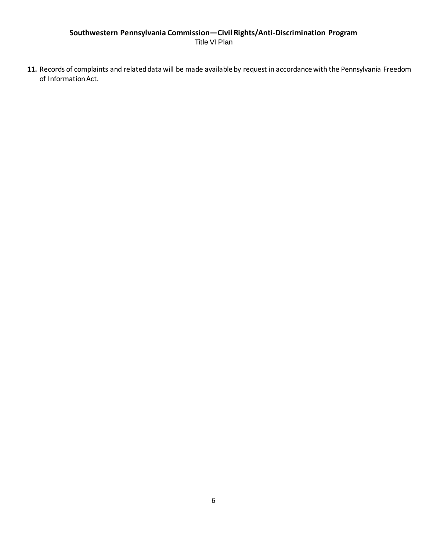#### **Southwestern Pennsylvania Commission—Civil Rights/Anti-Discrimination Program** Title VI Plan

**11.** Records of complaints and related data will be made available by request in accordance with the Pennsylvania Freedom of Information Act.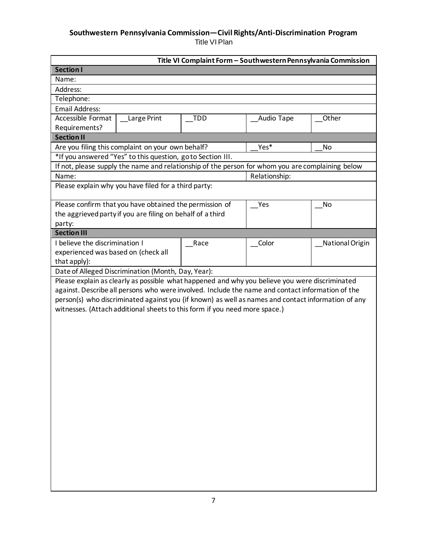#### **Southwestern Pennsylvania Commission—Civil Rights/Anti-Discrimination Program** Title VI Plan

|                                                                                                    | Title VI Complaint Form - Southwestern Pennsylvania Commission |               |                 |
|----------------------------------------------------------------------------------------------------|----------------------------------------------------------------|---------------|-----------------|
| <b>Section I</b>                                                                                   |                                                                |               |                 |
| Name:                                                                                              |                                                                |               |                 |
| Address:                                                                                           |                                                                |               |                 |
| Telephone:                                                                                         |                                                                |               |                 |
| <b>Email Address:</b>                                                                              |                                                                |               |                 |
| Accessible Format<br><b>Large Print</b>                                                            | TDD                                                            | Audio Tape    | Other           |
| Requirements?                                                                                      |                                                                |               |                 |
| <b>Section II</b>                                                                                  |                                                                |               |                 |
| Are you filing this complaint on your own behalf?                                                  |                                                                | Yes*          | No              |
| *If you answered "Yes" to this question, go to Section III.                                        |                                                                |               |                 |
| If not, please supply the name and relationship of the person for whom you are complaining below   |                                                                |               |                 |
| Name:                                                                                              |                                                                | Relationship: |                 |
| Please explain why you have filed for a third party:                                               |                                                                |               |                 |
|                                                                                                    |                                                                |               |                 |
| Please confirm that you have obtained the permission of                                            |                                                                | Yes           | No              |
| the aggrieved party if you are filing on behalf of a third                                         |                                                                |               |                 |
| party:                                                                                             |                                                                |               |                 |
| <b>Section III</b>                                                                                 |                                                                |               |                 |
| I believe the discrimination I                                                                     | Race                                                           | Color         | National Origin |
| experienced was based on (check all                                                                |                                                                |               |                 |
| that apply):                                                                                       |                                                                |               |                 |
| Date of Alleged Discrimination (Month, Day, Year):                                                 |                                                                |               |                 |
| Please explain as clearly as possible what happened and why you believe you were discriminated     |                                                                |               |                 |
| against. Describe all persons who were involved. Include the name and contact information of the   |                                                                |               |                 |
| person(s) who discriminated against you (if known) as well as names and contact information of any |                                                                |               |                 |
| witnesses. (Attach additional sheets to this form if you need more space.)                         |                                                                |               |                 |
|                                                                                                    |                                                                |               |                 |
|                                                                                                    |                                                                |               |                 |
|                                                                                                    |                                                                |               |                 |
|                                                                                                    |                                                                |               |                 |
|                                                                                                    |                                                                |               |                 |
|                                                                                                    |                                                                |               |                 |
|                                                                                                    |                                                                |               |                 |
|                                                                                                    |                                                                |               |                 |
|                                                                                                    |                                                                |               |                 |
|                                                                                                    |                                                                |               |                 |
|                                                                                                    |                                                                |               |                 |
|                                                                                                    |                                                                |               |                 |
|                                                                                                    |                                                                |               |                 |
|                                                                                                    |                                                                |               |                 |
|                                                                                                    |                                                                |               |                 |
|                                                                                                    |                                                                |               |                 |
|                                                                                                    |                                                                |               |                 |
|                                                                                                    |                                                                |               |                 |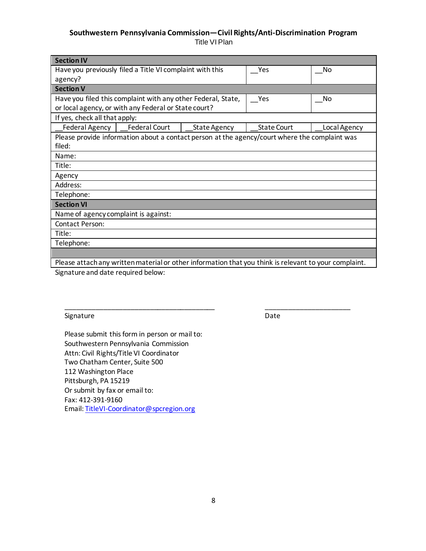## **Southwestern Pennsylvania Commission—Civil Rights/Anti-Discrimination Program**

Title VI Plan

| <b>Section IV</b>                                                                                     |                                                              |                     |                                                                                               |              |  |  |
|-------------------------------------------------------------------------------------------------------|--------------------------------------------------------------|---------------------|-----------------------------------------------------------------------------------------------|--------------|--|--|
|                                                                                                       | Have you previously filed a Title VI complaint with this     | Yes                 | No                                                                                            |              |  |  |
| agency?                                                                                               |                                                              |                     |                                                                                               |              |  |  |
| <b>Section V</b>                                                                                      |                                                              |                     |                                                                                               |              |  |  |
|                                                                                                       | Have you filed this complaint with any other Federal, State, |                     | Yes                                                                                           | No           |  |  |
|                                                                                                       | or local agency, or with any Federal or State court?         |                     |                                                                                               |              |  |  |
| If yes, check all that apply:                                                                         |                                                              |                     |                                                                                               |              |  |  |
| Federal Agency                                                                                        | <b>Federal Court</b>                                         | <b>State Agency</b> | <b>State Court</b>                                                                            | Local Agency |  |  |
|                                                                                                       |                                                              |                     | Please provide information about a contact person at the agency/court where the complaint was |              |  |  |
| filed:                                                                                                |                                                              |                     |                                                                                               |              |  |  |
| Name:                                                                                                 |                                                              |                     |                                                                                               |              |  |  |
| Title:                                                                                                |                                                              |                     |                                                                                               |              |  |  |
| Agency                                                                                                |                                                              |                     |                                                                                               |              |  |  |
| Address:                                                                                              |                                                              |                     |                                                                                               |              |  |  |
| Telephone:                                                                                            |                                                              |                     |                                                                                               |              |  |  |
| <b>Section VI</b>                                                                                     |                                                              |                     |                                                                                               |              |  |  |
| Name of agency complaint is against:                                                                  |                                                              |                     |                                                                                               |              |  |  |
| Contact Person:                                                                                       |                                                              |                     |                                                                                               |              |  |  |
| Title:                                                                                                |                                                              |                     |                                                                                               |              |  |  |
| Telephone:                                                                                            |                                                              |                     |                                                                                               |              |  |  |
|                                                                                                       |                                                              |                     |                                                                                               |              |  |  |
| Please attach any written material or other information that you think is relevant to your complaint. |                                                              |                     |                                                                                               |              |  |  |

\_\_\_\_\_\_\_\_\_\_\_\_\_\_\_\_\_\_\_\_\_\_\_\_\_\_\_\_\_\_\_\_\_\_\_\_\_\_\_ \_\_\_\_\_\_\_\_\_\_\_\_\_\_\_\_\_\_\_\_\_\_

Signature and date required below:

Signature Date Date Date

Please submit this form in person or mail to: Southwestern Pennsylvania Commission Attn: Civil Rights/Title VI Coordinator Two Chatham Center, Suite 500 112 Washington Place Pittsburgh, PA 15219 Or submit by fax or email to: Fax: 412-391-9160 Email: [TitleVI-Coordinator@spcregion.org](mailto:TitleVI-Coordinator@spcregion.org)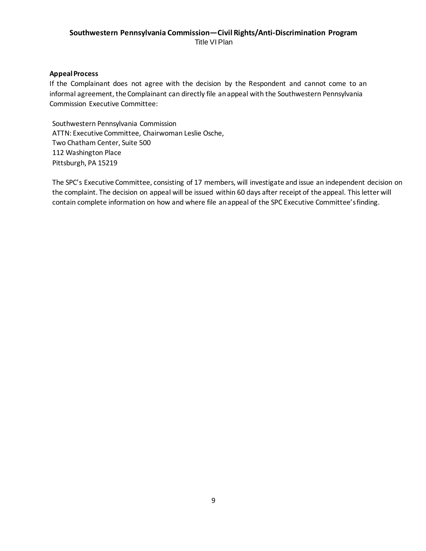#### **AppealProcess**

If the Complainant does not agree with the decision by the Respondent and cannot come to an informal agreement, the Complainant can directly file an appeal with the Southwestern Pennsylvania Commission Executive Committee:

Southwestern Pennsylvania Commission ATTN: Executive Committee, Chairwoman Leslie Osche, Two Chatham Center, Suite 500 112 Washington Place Pittsburgh, PA 15219

The SPC's Executive Committee, consisting of 17 members, will investigate and issue an independent decision on the complaint. The decision on appeal will be issued within 60 days after receipt of the appeal. This letter will contain complete information on how and where file an appeal of the SPC Executive Committee'sfinding.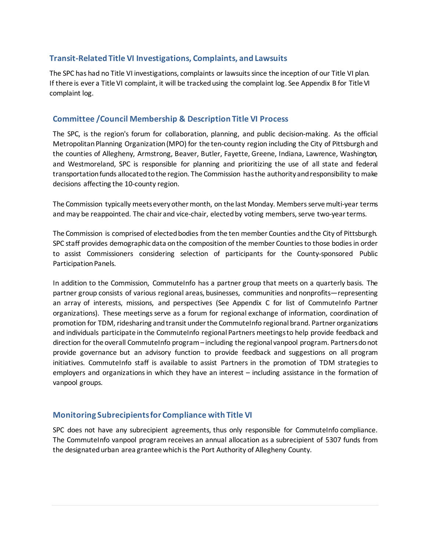#### **Transit-Related Title VI Investigations, Complaints, and Lawsuits**

The SPC has had no Title VI investigations, complaints or lawsuits since the inception of our Title VI plan. If there is ever a Title VI complaint, it will be tracked using the complaint log. See Appendix B for Title VI complaint log.

#### **Committee /Council Membership & Description Title VI Process**

The SPC, is the region's forum for collaboration, planning, and public decision-making. As the official Metropolitan Planning Organization (MPO) for the ten-county region including the City of Pittsburgh and the counties of Allegheny, Armstrong, Beaver, Butler, Fayette, Greene, Indiana, Lawrence, Washington, and Westmoreland, SPC is responsible for planning and prioritizing the use of all state and federal transportation funds allocated to the region. The Commission has the authority and responsibility to make decisions affecting the 10-county region.

The Commission typically meets every other month, on the last Monday. Members serve multi-year terms and may be reappointed. The chair and vice-chair, elected by voting members, serve two-year terms.

The Commission is comprised of elected bodies from the ten member Counties and the City of Pittsburgh. SPC staff provides demographic data on the composition of the member Counties to those bodies in order to assist Commissioners considering selection of participants for the County-sponsored Public Participation Panels.

In addition to the Commission, CommuteInfo has a partner group that meets on a quarterly basis. The partner group consists of various regional areas, businesses, communities and nonprofits—representing an array of interests, missions, and perspectives (See Appendix C for list of CommuteInfo Partner organizations). These meetings serve as a forum for regional exchange of information, coordination of promotion for TDM, ridesharing and transit under the CommuteInfo regional brand. Partner organizations and individuals participate in the CommuteInfo regional Partners meetings to help provide feedback and direction for the overall CommuteInfo program – including the regional vanpool program. Partnersdo not provide governance but an advisory function to provide feedback and suggestions on all program initiatives. CommuteInfo staff is available to assist Partners in the promotion of TDM strategies to employers and organizations in which they have an interest – including assistance in the formation of vanpool groups.

#### **Monitoring Subrecipientsfor Compliance with Title VI**

SPC does not have any subrecipient agreements, thus only responsible for CommuteInfo compliance. The CommuteInfo vanpool program receives an annual allocation as a subrecipient of 5307 funds from the designated urban area grantee which is the Port Authority of Allegheny County.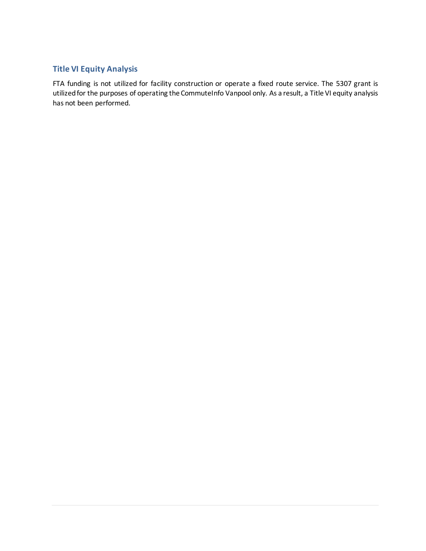### **Title VI Equity Analysis**

FTA funding is not utilized for facility construction or operate a fixed route service. The 5307 grant is utilized for the purposes of operating the CommuteInfo Vanpool only. As a result, a Title VI equity analysis has not been performed.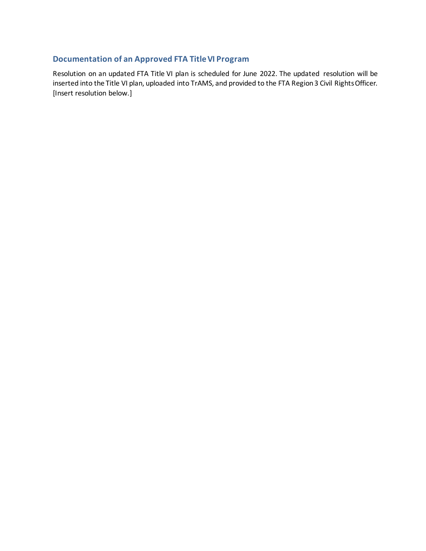## **Documentation of an Approved FTA TitleVI Program**

Resolution on an updated FTA Title VI plan is scheduled for June 2022. The updated resolution will be inserted into the Title VI plan, uploaded into TrAMS, and provided to the FTA Region 3 Civil Rights Officer. [Insert resolution below.]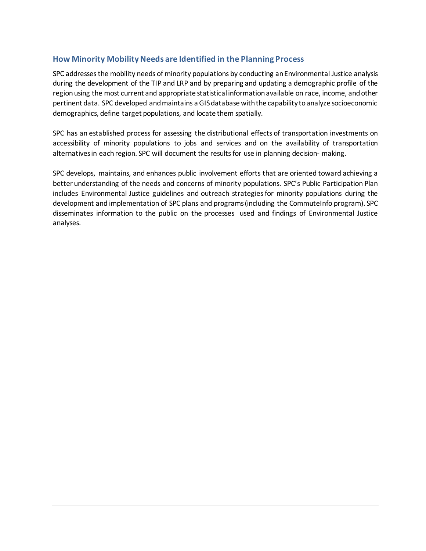#### **How Minority MobilityNeeds are Identified in the Planning Process**

SPC addresses the mobility needs of minority populations by conducting an Environmental Justice analysis during the development of the TIP and LRP and by preparing and updating a demographic profile of the region using the most current and appropriate statistical information available on race, income, and other pertinent data. SPC developed and maintains a GIS database with the capability to analyze socioeconomic demographics, define target populations, and locate them spatially.

SPC has an established process for assessing the distributional effects of transportation investments on accessibility of minority populations to jobs and services and on the availability of transportation alternatives in each region. SPC will document the results for use in planning decision- making.

SPC develops, maintains, and enhances public involvement efforts that are oriented toward achieving a better understanding of the needs and concerns of minority populations. SPC's Public Participation Plan includes Environmental Justice guidelines and outreach strategies for minority populations during the development and implementation of SPC plans and programs (including the CommuteInfo program). SPC disseminates information to the public on the processes used and findings of Environmental Justice analyses.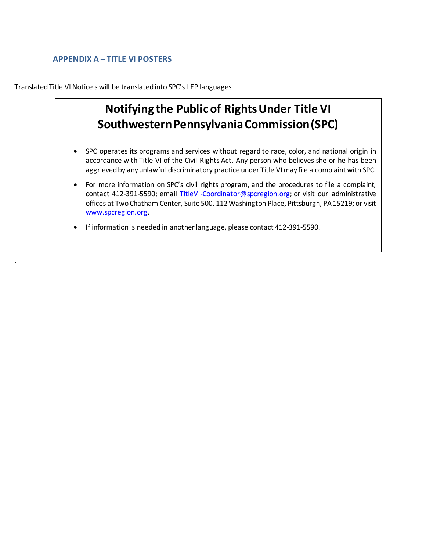### **APPENDIX A – TITLE VI POSTERS**

.

Translated Title VI Notice s will be translated into SPC's LEP languages

# **Notifying the Public of Rights Under Title VI Southwestern Pennsylvania Commission (SPC)**

- SPC operates its programs and services without regard to race, color, and national origin in accordance with Title VI of the Civil Rights Act. Any person who believes she or he has been aggrieved by any unlawful discriminatory practice under Title VI may file a complaint with SPC.
- For more information on SPC's civil rights program, and the procedures to file a complaint, contact 412-391-5590; email [TitleVI-Coordinator@spcregion.org;](mailto:TitleVI-Coordinator@spcregion.org) or visit our administrative offices at Two Chatham Center, Suite 500, 112 Washington Place, Pittsburgh, PA 15219; or visit [www.spcregion.org](http://www.spcregion.org/).
- If information is needed in another language, please contact 412-391-5590.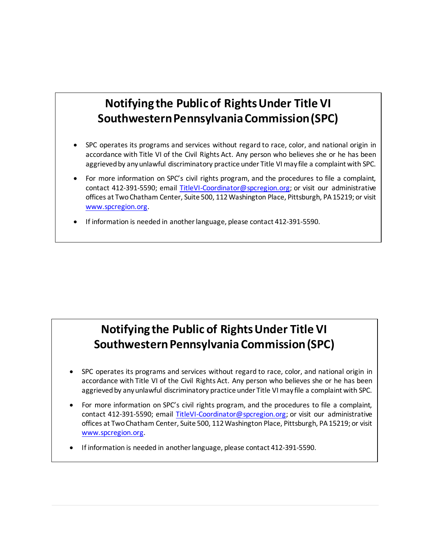# **Notifying the Public of Rights Under Title VI Southwestern Pennsylvania Commission (SPC)**

- SPC operates its programs and services without regard to race, color, and national origin in accordance with Title VI of the Civil Rights Act. Any person who believes she or he has been aggrieved by any unlawful discriminatory practice under Title VI may file a complaint with SPC.
- For more information on SPC's civil rights program, and the procedures to file a complaint, contact 412-391-5590; email [TitleVI-Coordinator@spcregion.org;](mailto:TitleVI-Coordinator@spcregion.org) or visit our administrative offices at Two Chatham Center, Suite 500, 112 Washington Place, Pittsburgh, PA 15219; or visit [www.spcregion.org](http://www.spcregion.org/).
- If information is needed in another language, please contact 412-391-5590.

# **Notifying the Public of Rights Under Title VI Southwestern Pennsylvania Commission (SPC)**

- SPC operates its programs and services without regard to race, color, and national origin in accordance with Title VI of the Civil Rights Act. Any person who believes she or he has been aggrieved by any unlawful discriminatory practice under Title VI may file a complaint with SPC.
- For more information on SPC's civil rights program, and the procedures to file a complaint, contact 412-391-5590; email [TitleVI-Coordinator@spcregion.org;](mailto:TitleVI-Coordinator@spcregion.org) or visit our administrative offices at Two Chatham Center, Suite 500, 112 Washington Place, Pittsburgh, PA 15219; or visit [www.spcregion.org.](http://www.spcregion.org/)
- If information is needed in another language, please contact 412-391-5590.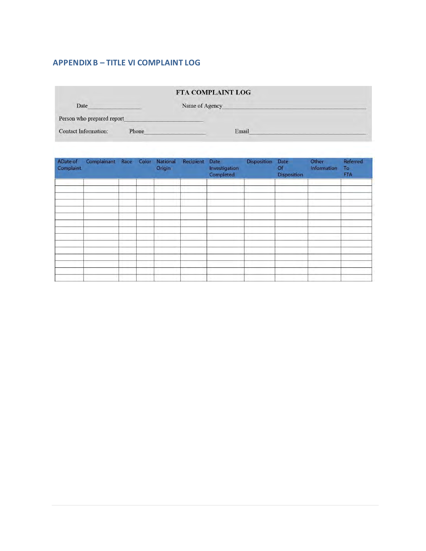### **APPENDIX B – TITLE VI COMPLAINT LOG**

|                             |       | FTA COMPLAINT LOG |  |
|-----------------------------|-------|-------------------|--|
| Date                        |       | Name of Agency    |  |
| Person who prepared report  |       |                   |  |
| <b>Contact Information:</b> | Phone | Email             |  |

| ADate of<br>Complaint | Complainant Race Color National |  | Origin | Recipient | Date<br>Investigation<br>Completed | <b>Disposition</b> | Date<br><b>Of</b><br>Disposition | Other<br>Information | Referred<br>To<br>FTA: |
|-----------------------|---------------------------------|--|--------|-----------|------------------------------------|--------------------|----------------------------------|----------------------|------------------------|
|                       |                                 |  |        |           |                                    |                    |                                  |                      |                        |
|                       |                                 |  |        |           |                                    |                    |                                  |                      |                        |
|                       |                                 |  |        |           |                                    |                    |                                  |                      |                        |
|                       |                                 |  |        |           |                                    |                    |                                  |                      |                        |
|                       |                                 |  |        |           |                                    |                    |                                  |                      |                        |
|                       |                                 |  |        |           |                                    |                    |                                  |                      |                        |
|                       |                                 |  |        |           |                                    |                    |                                  |                      |                        |
|                       |                                 |  |        |           |                                    |                    |                                  |                      |                        |
|                       |                                 |  |        |           |                                    |                    |                                  |                      |                        |
|                       |                                 |  |        |           |                                    |                    |                                  |                      |                        |
|                       |                                 |  |        |           |                                    |                    |                                  |                      |                        |
|                       |                                 |  |        |           |                                    |                    |                                  |                      |                        |
|                       |                                 |  |        |           |                                    |                    |                                  |                      |                        |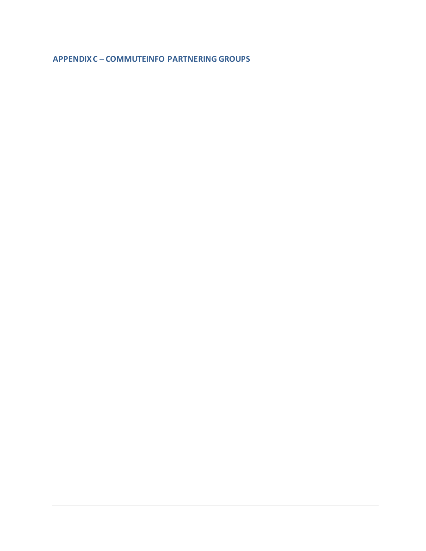**APPENDIX C – COMMUTEINFO PARTNERING GROUPS**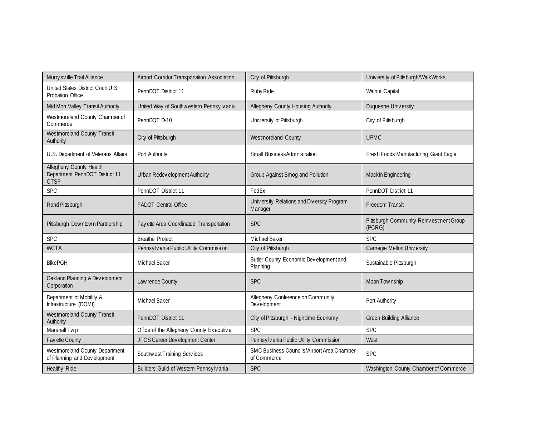| Murry sv ille Trail Alliance                                             | Airport Corridor Transportation Association | City of Pittsburgh                                        | University of Pittsburgh/WalkWorks                |
|--------------------------------------------------------------------------|---------------------------------------------|-----------------------------------------------------------|---------------------------------------------------|
| United States District Court U.S.<br>Probation Office                    | PennDOT District 11                         | Ruby Ride                                                 | Walnut Capital                                    |
| Mid Mon Valley Transit Authority                                         | United Way of Southwestern Pennsylvania     | Allegheny County Housing Authority                        | Duquesne University                               |
| Westmoreland County Chamber of<br>Commerce                               | PennDOT D-10                                | University of Pittsburgh                                  | City of Pittsburgh                                |
| <b>Westmoreland County Transit</b><br>Authority                          | City of Pittsburgh                          | Westmoreland County                                       | <b>UPMC</b>                                       |
| U.S. Department of Veterans Affairs                                      | Port Authority                              | Small BusinessAdmnistration                               | Fresh Foods Manufacturing Giant Eagle             |
| Allegheny County Health<br>Department PennDOT District 11<br><b>CTSP</b> | Urban Redev elopment Authority              | Group Against Smog and Pollution                          | Mackin Engineering                                |
| <b>SPC</b>                                                               | PennDOT District 11                         | FedEx                                                     | PennDOT District 11                               |
| Rand Pittsburgh                                                          | PADOT Central Office                        | University Relations and Diversity Program<br>Manager     | <b>Freedom Transit</b>                            |
| Pittsburgh Downtown Partnership                                          | Fay ette Area Coordinated Transportation    | <b>SPC</b>                                                | Pittsburgh Community Reinvestment Group<br>(PCRG) |
| <b>SPC</b>                                                               | <b>Breathe Project</b>                      | Michael Baker                                             | <b>SPC</b>                                        |
| <b>WCTA</b>                                                              | Pennsylvania Public Utility Commission      | City of Pittsburgh                                        | Carnegie Mellon University                        |
| <b>BikePGH</b>                                                           | <b>Michael Baker</b>                        | Butler County Economic Dev elopment and<br>Planning       | Sustainable Pittsburgh                            |
| Oakland Planning & Development<br>Corporation                            | Law rence County                            | <b>SPC</b>                                                | Moon Township                                     |
| Department of Mobility &<br>Infrastructure (DOMI)                        | <b>Michael Baker</b>                        | Allegheny Conference on Community<br>Dev elopment         | Port Authority                                    |
| Westmoreland County Transit<br>Authority                                 | PennDOT District 11                         | City of Pittsburgh - Nighttime Economy                    | <b>Green Building Alliance</b>                    |
| Marshall Twp                                                             | Office of the Allegheny County Executive    | <b>SPC</b>                                                | <b>SPC</b>                                        |
| Fay ette County                                                          | JFCS Career Dev elopment Center             | Pennsylv ania Public Utility Commission                   | West                                              |
| Westmoreland County Department<br>of Planning and Development            | Southwest Training Services                 | SMC Business Councils/Airport Area Chamber<br>of Commerce | <b>SPC</b>                                        |
| Healthy Ride                                                             | Builders Guild of Western Pennsylv ania     | <b>SPC</b>                                                | Washington County Chamber of Commerce             |